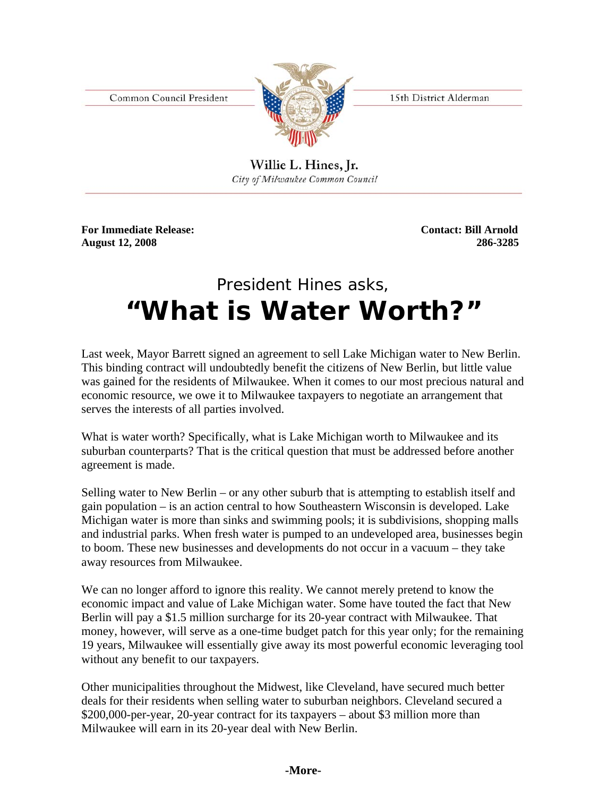Common Council President



15th District Alderman

Willie L. Hines, Jr. City of Milwaukee Common Council

**For Immediate Release: Contact: Bill Arnold August 12, 2008 286-3285**

## President Hines asks, **"What is Water Worth?"**

Last week, Mayor Barrett signed an agreement to sell Lake Michigan water to New Berlin. This binding contract will undoubtedly benefit the citizens of New Berlin, but little value was gained for the residents of Milwaukee. When it comes to our most precious natural and economic resource, we owe it to Milwaukee taxpayers to negotiate an arrangement that serves the interests of all parties involved.

What is water worth? Specifically, what is Lake Michigan worth to Milwaukee and its suburban counterparts? That is the critical question that must be addressed before another agreement is made.

Selling water to New Berlin – or any other suburb that is attempting to establish itself and gain population – is an action central to how Southeastern Wisconsin is developed. Lake Michigan water is more than sinks and swimming pools; it is subdivisions, shopping malls and industrial parks. When fresh water is pumped to an undeveloped area, businesses begin to boom. These new businesses and developments do not occur in a vacuum – they take away resources from Milwaukee.

We can no longer afford to ignore this reality. We cannot merely pretend to know the economic impact and value of Lake Michigan water. Some have touted the fact that New Berlin will pay a \$1.5 million surcharge for its 20-year contract with Milwaukee. That money, however, will serve as a one-time budget patch for this year only; for the remaining 19 years, Milwaukee will essentially give away its most powerful economic leveraging tool without any benefit to our taxpayers.

Other municipalities throughout the Midwest, like Cleveland, have secured much better deals for their residents when selling water to suburban neighbors. Cleveland secured a \$200,000-per-year, 20-year contract for its taxpayers – about \$3 million more than Milwaukee will earn in its 20-year deal with New Berlin.